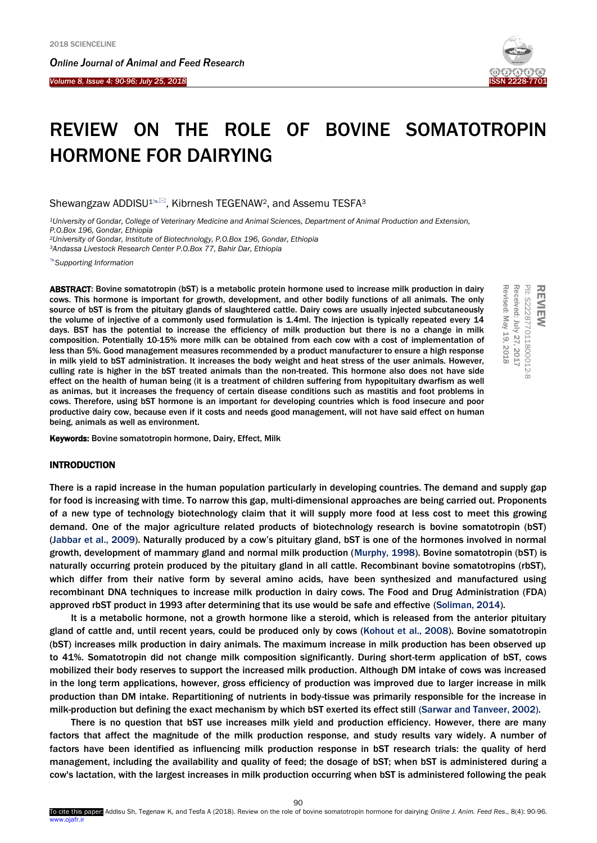*Online Journal of A[nimal and](http://www.ojafr.ir/main/) Feed Research*

*Volume 8, Issue 4: 90-96; July 25, 2018* I



PII: S2228770118000

Revised: May 19, 2018 Received: July 27, 2017

2018

Revised: May 19, Received: July 27, 2017 PII: S222877011800012-8

REVIEW

# REVIEW ON THE ROLE OF BOVINE SOMATOTROPIN HORMONE FOR DAIRYING

Shewangzaw ADDISU<sup>1%</sup>, Kibrnesh TEGENAW<sup>2</sup>, and Assemu TESFA<sup>3</sup>

*<sup>1</sup>University of Gondar, College of Veterinary Medicine and Animal Sciences, Department of Animal Production and Extension, P.O.Box 196, Gondar, Ethiopia* 

*<sup>2</sup>University of Gondar, Institute of Biotechnology, P.O.Box 196, Gondar, Ethiopia <sup>3</sup>Andassa Livestock Research Center P.O.Box 77, Bahir Dar, Ethiopia*

*[Supporting Information](#page-5-0)*

ABSTRACT: Bovine somatotropin (bST) is a metabolic protein hormone used to increase milk production in dairy cows. This hormone is important for growth, development, and other bodily functions of all animals. The only source of bST is from the pituitary glands of slaughtered cattle. Dairy cows are usually injected subcutaneously the volume of injective of a commonly used formulation is 1.4ml. The injection is typically repeated every 14 days. BST has the potential to increase the efficiency of milk production but there is no a change in milk composition. Potentially 10-15% more milk can be obtained from each cow with a cost of implementation of less than 5%. Good management measures recommended by a product manufacturer to ensure a high response in milk yield to bST administration. It increases the body weight and heat stress of the user animals. However, culling rate is higher in the bST treated animals than the non-treated. This hormone also does not have side effect on the health of human being (it is a treatment of children suffering from hypopituitary dwarfism as well as animas, but it increases the frequency of certain disease conditions such as mastitis and foot problems in cows. Therefore, using bST hormone is an important for developing countries which is food insecure and poor productive dairy cow, because even if it costs and needs good management, will not have said effect on human being, animals as well as environment.

Keywords: Bovine somatotropin hormone, Dairy, Effect, Milk

# INTRODUCTION

There is a rapid increase in the human population particularly in developing countries. The demand and supply gap for food is increasing with time. To narrow this gap, multi-dimensional approaches are being carried out. Proponents of a new type of technology biotechnology claim that it will supply more food at less cost to meet this growing demand. One of the major agriculture related products of biotechnology research is bovine somatotropin (bST) (Jabbar et al., 2009). Naturally produced by a cow's pituitary gland, bST is one of the hormones involved in normal growth, development of mammary gland and normal milk production (Murphy, 1998). Bovine somatotropin (bST) is naturally occurring protein produced by the pituitary gland in all cattle. Recombinant bovine somatotropins (rbST), which differ from their native form by several amino acids, have been synthesized and manufactured using recombinant DNA techniques to increase milk production in dairy cows. The Food and Drug Administration (FDA) approved rbST product in 1993 after determining that its use would be safe and effective (Soliman, 2014).

It is a metabolic hormone, not a growth hormone like a steroid, which is released from the anterior pituitary gland of cattle and, until recent years, could be produced only by cows (Kohout et al., 2008). Bovine somatotropin (bST) increases milk production in dairy animals. The maximum increase in milk production has been observed up to 41%. Somatotropin did not change milk composition significantly. During short-term application of bST, cows mobilized their body reserves to support the increased milk production. Although DM intake of cows was increased in the long term applications, however, gross efficiency of production was improved due to larger increase in milk production than DM intake. Repartitioning of nutrients in body-tissue was primarily responsible for the increase in milk-production but defining the exact mechanism by which bST exerted its effect still (Sarwar and Tanveer, 2002).

There is no question that bST use increases milk yield and production efficiency. However, there are many factors that affect the magnitude of the milk production response, and study results vary widely. A number of factors have been identified as influencing milk production response in bST research trials: the quality of herd management, including the availability and quality of feed; the dosage of bST; when bST is administered during a cow's lactation, with the largest increases in milk production occurring when bST is administered following the peak

 $90$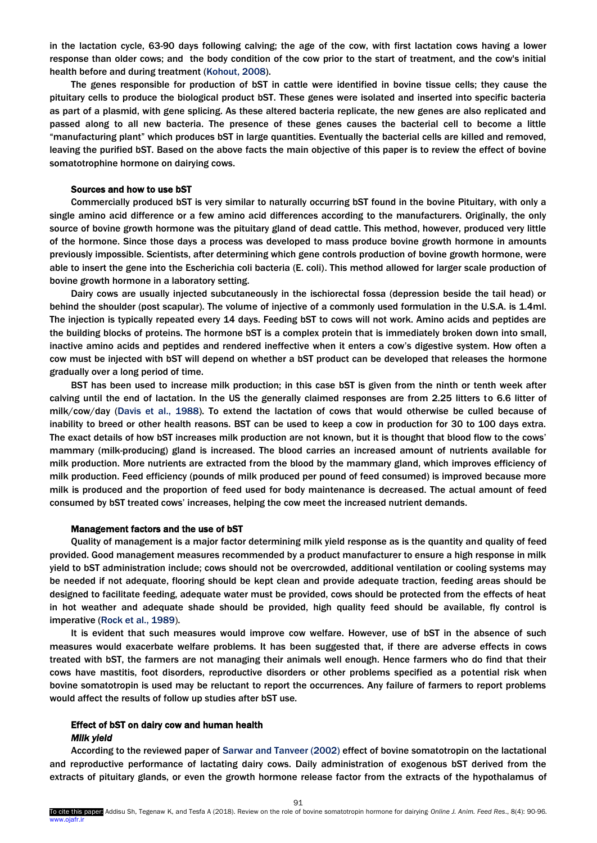in the lactation cycle, 63-90 days following calving; the age of the cow, with first lactation cows having a lower response than older cows; and the body condition of the cow prior to the start of treatment, and the cow's initial health before and during treatment (Kohout, 2008).

The genes responsible for production of bST in cattle were identified in bovine tissue cells; they cause the pituitary cells to produce the biological product bST. These genes were isolated and inserted into specific bacteria as part of a plasmid, with gene splicing. As these altered bacteria replicate, the new genes are also replicated and passed along to all new bacteria. The presence of these genes causes the bacterial cell to become a little "manufacturing plant" which produces bST in large quantities. Eventually the bacterial cells are killed and removed, leaving the purified bST. Based on the above facts the main objective of this paper is to review the effect of bovine somatotrophine hormone on dairying cows.

#### Sources and how to use bST

Commercially produced bST is very similar to naturally occurring bST found in the bovine Pituitary, with only a single amino acid difference or a few amino acid differences according to the manufacturers. Originally, the only source of bovine growth hormone was the pituitary gland of dead cattle. This method, however, produced very little of the hormone. Since those days a process was developed to mass produce bovine growth hormone in amounts previously impossible. Scientists, after determining which gene controls production of bovine growth hormone, were able to insert the gene into the Escherichia coli bacteria (E. coli). This method allowed for larger scale production of bovine growth hormone in a laboratory setting.

Dairy cows are usually injected subcutaneously in the ischiorectal fossa (depression beside the tail head) or behind the shoulder (post scapular). The volume of injective of a commonly used formulation in the U.S.A. is 1.4ml. The injection is typically repeated every 14 days. Feeding bST to cows will not work. Amino acids and peptides are the building blocks of proteins. The hormone bST is a complex protein that is immediately broken down into small, inactive amino acids and peptides and rendered ineffective when it enters a cow's digestive system. How often a cow must be injected with bST will depend on whether a bST product can be developed that releases the hormone gradually over a long period of time.

BST has been used to increase milk production; in this case bST is given from the ninth or tenth week after calving until the end of lactation. In the US the generally claimed responses are from 2.25 litters to 6.6 litter of milk/cow/day (Davis et al., 1988). To extend the lactation of cows that would otherwise be culled because of inability to breed or other health reasons. BST can be used to keep a cow in production for 30 to 100 days extra. The exact details of how bST increases milk production are not known, but it is thought that blood flow to the cows' mammary (milk-producing) gland is increased. The blood carries an increased amount of nutrients available for milk production. More nutrients are extracted from the blood by the mammary gland, which improves efficiency of milk production. Feed efficiency (pounds of milk produced per pound of feed consumed) is improved because more milk is produced and the proportion of feed used for body maintenance is decreased. The actual amount of feed consumed by bST treated cows' increases, helping the cow meet the increased nutrient demands.

#### Management factors and the use of bST

Quality of management is a major factor determining milk yield response as is the quantity and quality of feed provided. Good management measures recommended by a product manufacturer to ensure a high response in milk yield to bST administration include; cows should not be overcrowded, additional ventilation or cooling systems may be needed if not adequate, flooring should be kept clean and provide adequate traction, feeding areas should be designed to facilitate feeding, adequate water must be provided, cows should be protected from the effects of heat in hot weather and adequate shade should be provided, high quality feed should be available, fly control is imperative (Rock et al., 1989).

It is evident that such measures would improve cow welfare. However, use of bST in the absence of such measures would exacerbate welfare problems. It has been suggested that, if there are adverse effects in cows treated with bST, the farmers are not managing their animals well enough. Hence farmers who do find that their cows have mastitis, foot disorders, reproductive disorders or other problems specified as a potential risk when bovine somatotropin is used may be reluctant to report the occurrences. Any failure of farmers to report problems would affect the results of follow up studies after bST use.

# Effect of bST on dairy cow and human health *Milk yield*

According to the reviewed paper of Sarwar and Tanveer (2002) effect of bovine somatotropin on the lactational and reproductive performance of lactating dairy cows. Daily administration of exogenous bST derived from the extracts of pituitary glands, or even the growth hormone release factor from the extracts of the hypothalamus of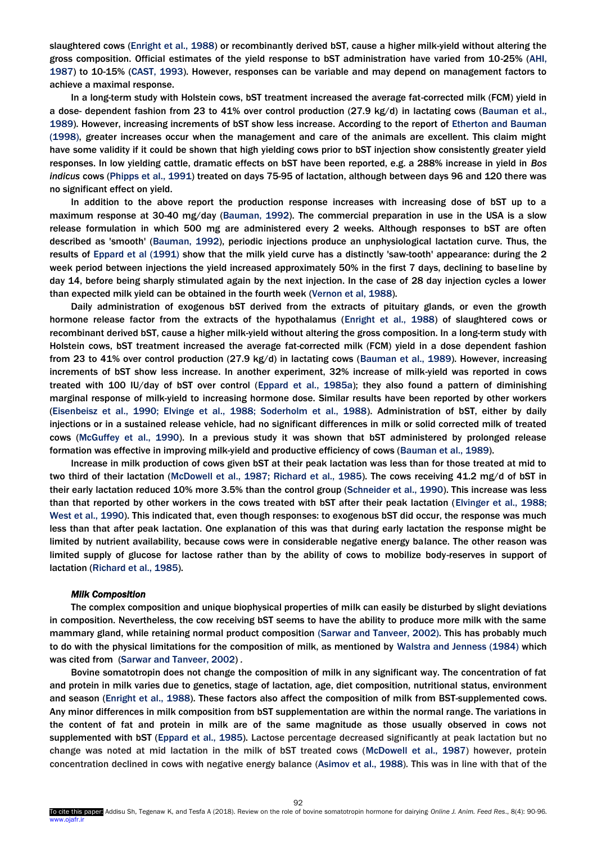slaughtered cows (Enright et al., 1988) or recombinantly derived bST, cause a higher milk-yield without altering the gross composition. Official estimates of the yield response to bST administration have varied from 10-25% (AHI, 1987) to 10-15% (CAST, 1993). However, responses can be variable and may depend on management factors to achieve a maximal response.

In a long-term study with Holstein cows, bST treatment increased the average fat-corrected milk (FCM) yield in a dose- dependent fashion from 23 to 41% over control production (27.9 kg/d) in lactating cows (Bauman et al., 1989). However, increasing increments of bST show less increase. According to the report of Etherton and Bauman (1998), greater increases occur when the management and care of the animals are excellent. This claim might have some validity if it could be shown that high yielding cows prior to bST injection show consistently greater yield responses. In low yielding cattle, dramatic effects on bST have been reported, e.g. a 288% increase in yield in *Bos indicus* cows (Phipps et al., 1991) treated on days 75-95 of lactation, although between days 96 and 120 there was no significant effect on yield.

In addition to the above report the production response increases with increasing dose of bST up to a maximum response at 30-40 mg/day (Bauman, 1992). The commercial preparation in use in the USA is a slow release formulation in which 500 mg are administered every 2 weeks. Although responses to bST are often described as 'smooth' (Bauman, 1992), periodic injections produce an unphysiological lactation curve. Thus, the results of Eppard et al (1991) show that the milk yield curve has a distinctly 'saw-tooth' appearance: during the 2 week period between injections the yield increased approximately 50% in the first 7 days, declining to baseline by day 14, before being sharply stimulated again by the next injection. In the case of 28 day injection cycles a lower than expected milk yield can be obtained in the fourth week (Vernon et al, 1988).

Daily administration of exogenous bST derived from the extracts of pituitary glands, or even the growth hormone release factor from the extracts of the hypothalamus (Enright et al., 1988) of slaughtered cows or recombinant derived bST, cause a higher milk-yield without altering the gross composition. In a long-term study with Holstein cows, bST treatment increased the average fat-corrected milk (FCM) yield in a dose dependent fashion from 23 to 41% over control production (27.9 kg/d) in lactating cows (Bauman et al., 1989). However, increasing increments of bST show less increase. In another experiment, 32% increase of milk-yield was reported in cows treated with 100 IU/day of bST over control (Eppard et al., 1985a); they also found a pattern of diminishing marginal response of milk-yield to increasing hormone dose. Similar results have been reported by other workers (Eisenbeisz et al., 1990; Elvinge et al., 1988; Soderholm et al., 1988). Administration of bST, either by daily injections or in a sustained release vehicle, had no significant differences in milk or solid corrected milk of treated cows (McGuffey et al., 1990). In a previous study it was shown that bST administered by prolonged release formation was effective in improving milk-yield and productive efficiency of cows (Bauman et al., 1989).

Increase in milk production of cows given bST at their peak lactation was less than for those treated at mid to two third of their lactation (McDowell et al., 1987; Richard et al., 1985). The cows receiving 41.2 mg/d of bST in their early lactation reduced 10% more 3.5% than the control group (Schneider et al., 1990). This increase was less than that reported by other workers in the cows treated with bST after their peak lactation (Elvinger et al., 1988; West et al., 1990). This indicated that, even though responses: to exogenous bST did occur, the response was much less than that after peak lactation. One explanation of this was that during early lactation the response might be limited by nutrient availability, because cows were in considerable negative energy balance. The other reason was limited supply of glucose for lactose rather than by the ability of cows to mobilize body-reserves in support of lactation (Richard et al., 1985).

## *Milk Composition*

The complex composition and unique biophysical properties of milk can easily be disturbed by slight deviations in composition. Nevertheless, the cow receiving bST seems to have the ability to produce more milk with the same mammary gland, while retaining normal product composition (Sarwar and Tanveer, 2002). This has probably much to do with the physical limitations for the composition of milk, as mentioned by Walstra and Jenness (1984) which was cited from (Sarwar and Tanveer, 2002) *.* 

Bovine somatotropin does not change the composition of milk in any significant way. The concentration of fat and protein in milk varies due to genetics, stage of lactation, age, diet composition, nutritional status, environment and season (Enright et al., 1988). These factors also affect the composition of milk from BST-supplemented cows. Any minor differences in milk composition from bST supplementation are within the normal range. The variations in the content of fat and protein in milk are of the same magnitude as those usually observed in cows not supplemented with bST (Eppard et al., 1985). Lactose percentage decreased significantly at peak lactation but no change was noted at mid lactation in the milk of bST treated cows (McDowell et al., 1987) however, protein concentration declined in cows with negative energy balance (Asimov et al., 1988). This was in line with that of the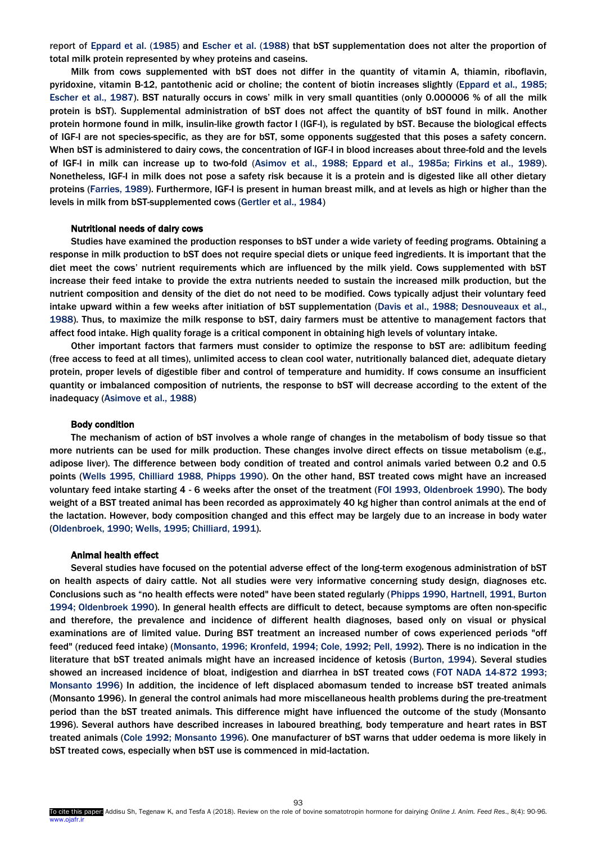report of Eppard et al. (1985) and Escher et al. (1988) that bST supplementation does not alter the proportion of total milk protein represented by whey proteins and caseins.

Milk from cows supplemented with bST does not differ in the quantity of vitamin A, thiamin, riboflavin, pyridoxine, vitamin B-12, pantothenic acid or choline; the content of biotin increases slightly (Eppard et al., 1985; Escher et al., 1987). BST naturally occurs in cows' milk in very small quantities (only 0.000006 % of all the milk protein is bST). Supplemental administration of bST does not affect the quantity of bST found in milk. Another protein hormone found in milk, insulin-like growth factor I (IGF-I), is regulated by bST. Because the biological effects of IGF-I are not species-specific, as they are for bST, some opponents suggested that this poses a safety concern. When bST is administered to dairy cows, the concentration of IGF-I in blood increases about three-fold and the levels of IGF-I in milk can increase up to two-fold (Asimov et al., 1988; Eppard et al., 1985a; Firkins et al., 1989). Nonetheless, IGF-I in milk does not pose a safety risk because it is a protein and is digested like all other dietary proteins (Farries, 1989). Furthermore, IGF-I is present in human breast milk, and at levels as high or higher than the levels in milk from bST-supplemented cows (Gertler et al., 1984)

#### Nutritional needs of dairy cows

Studies have examined the production responses to bST under a wide variety of feeding programs. Obtaining a response in milk production to bST does not require special diets or unique feed ingredients. It is important that the diet meet the cows' nutrient requirements which are influenced by the milk yield. Cows supplemented with bST increase their feed intake to provide the extra nutrients needed to sustain the increased milk production, but the nutrient composition and density of the diet do not need to be modified. Cows typically adjust their voluntary feed intake upward within a few weeks after initiation of bST supplementation (Davis et al., 1988; Desnouveaux et al., 1988). Thus, to maximize the milk response to bST, dairy farmers must be attentive to management factors that affect food intake. High quality forage is a critical component in obtaining high levels of voluntary intake.

Other important factors that farmers must consider to optimize the response to bST are: adlibitum feeding (free access to feed at all times), unlimited access to clean cool water, nutritionally balanced diet, adequate dietary protein, proper levels of digestible fiber and control of temperature and humidity. If cows consume an insufficient quantity or imbalanced composition of nutrients, the response to bST will decrease according to the extent of the inadequacy (Asimove et al., 1988)

# Body condition

The mechanism of action of bST involves a whole range of changes in the metabolism of body tissue so that more nutrients can be used for milk production. These changes involve direct effects on tissue metabolism (e.g., adipose liver). The difference between body condition of treated and control animals varied between 0.2 and 0.5 points (Wells 1995, Chilliard 1988, Phipps 1990). On the other hand, BST treated cows might have an increased voluntary feed intake starting 4 - 6 weeks after the onset of the treatment (FOI 1993, Oldenbroek 1990). The body weight of a BST treated animal has been recorded as approximately 40 kg higher than control animals at the end of the lactation. However, body composition changed and this effect may be largely due to an increase in body water (Oldenbroek, 1990; Wells, 1995; Chilliard, 1991).

#### Animal health effect

Several studies have focused on the potential adverse effect of the long-term exogenous administration of bST on health aspects of dairy cattle. Not all studies were very informative concerning study design, diagnoses etc. Conclusions such as "no health effects were noted" have been stated regularly (Phipps 1990, Hartnell, 1991, Burton 1994; Oldenbroek 1990). In general health effects are difficult to detect, because symptoms are often non-specific and therefore, the prevalence and incidence of different health diagnoses, based only on visual or physical examinations are of limited value. During BST treatment an increased number of cows experienced periods "off feed" (reduced feed intake) (Monsanto, 1996; Kronfeld, 1994; Cole, 1992; Pell, 1992). There is no indication in the literature that bST treated animals might have an increased incidence of ketosis (Burton, 1994). Several studies showed an increased incidence of bloat, indigestion and diarrhea in bST treated cows (FOT NADA 14-872 1993; Monsanto 1996) In addition, the incidence of left displaced abomasum tended to increase bST treated animals (Monsanto 1996). In general the control animals had more miscellaneous health problems during the pre-treatment period than the bST treated animals. This difference might have influenced the outcome of the study (Monsanto 1996). Several authors have described increases in laboured breathing, body temperature and heart rates in BST treated animals (Cole 1992; Monsanto 1996). One manufacturer of bST warns that udder oedema is more likely in bST treated cows, especially when bST use is commenced in mid-lactation.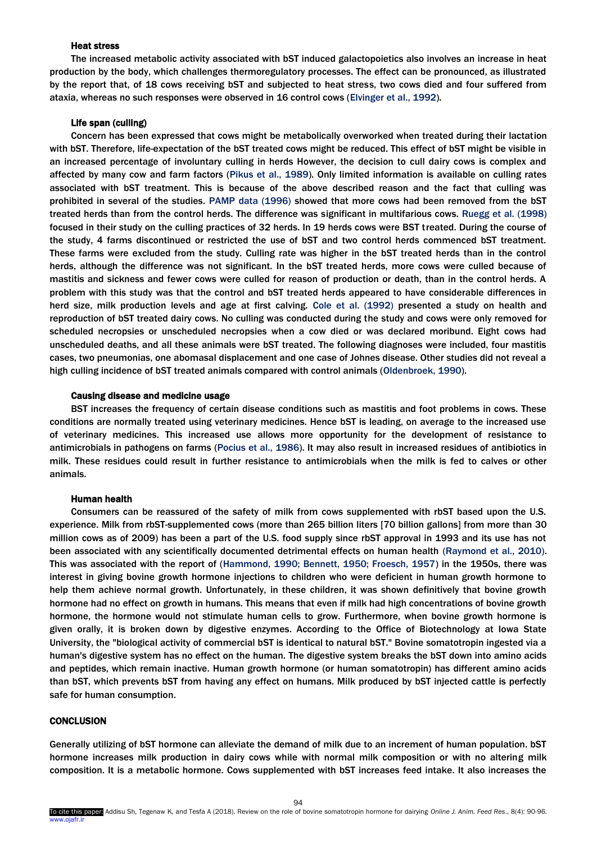# Heat stress

The increased metabolic activity associated with bST induced galactopoietics also involves an increase in heat production by the body, which challenges thermoregulatory processes. The effect can be pronounced, as illustrated by the report that, of 18 cows receiving bST and subjected to heat stress, two cows died and four suffered from ataxia, whereas no such responses were observed in 16 control cows (Elvinger et al., 1992).

#### Life span (culling)

Concern has been expressed that cows might be metabolically overworked when treated during their lactation with bST. Therefore, life-expectation of the bST treated cows might be reduced. This effect of bST might be visible in an increased percentage of involuntary culling in herds However, the decision to cull dairy cows is complex and affected by many cow and farm factors (Pikus et al., 1989). Only limited information is available on culling rates associated with bST treatment. This is because of the above described reason and the fact that culling was prohibited in several of the studies. PAMP data (1996) showed that more cows had been removed from the bST treated herds than from the control herds. The difference was significant in multifarious cows. Ruegg et al. (1998) focused in their study on the culling practices of 32 herds. In 19 herds cows were BST treated. During the course of the study, 4 farms discontinued or restricted the use of bST and two control herds commenced bST treatment. These farms were excluded from the study. Culling rate was higher in the bST treated herds than in the control herds, although the difference was not significant. In the bST treated herds, more cows were culled because of mastitis and sickness and fewer cows were culled for reason of production or death, than in the control herds. A problem with this study was that the control and bST treated herds appeared to have considerable differences in herd size, milk production levels and age at first calving. Cole et al. (1992) presented a study on health and reproduction of bST treated dairy cows. No culling was conducted during the study and cows were only removed for scheduled necropsies or unscheduled necropsies when a cow died or was declared moribund. Eight cows had unscheduled deaths, and all these animals were bST treated. The following diagnoses were included, four mastitis cases, two pneumonias, one abomasal displacement and one case of Johnes disease. Other studies did not reveal a high culling incidence of bST treated animals compared with control animals (Oldenbroek, 1990).

## Causing disease and medicine usage

BST increases the frequency of certain disease conditions such as mastitis and foot problems in cows. These conditions are normally treated using veterinary medicines. Hence bST is leading, on average to the increased use of veterinary medicines. This increased use allows more opportunity for the development of resistance to antimicrobials in pathogens on farms (Pocius et al., 1986). It may also result in increased residues of antibiotics in milk. These residues could result in further resistance to antimicrobials when the milk is fed to calves or other animals.

# Human health

Consumers can be reassured of the safety of milk from cows supplemented with rbST based upon the U.S. experience. Milk from rbST-supplemented cows (more than 265 billion liters [70 billion gallons] from more than 30 million cows as of 2009) has been a part of the U.S. food supply since rbST approval in 1993 and its use has not been associated with any scientifically documented detrimental effects on human health (Raymond et al., 2010). This was associated with the report of (Hammond, 1990; Bennett, 1950; Froesch, 1957) in the 1950s, there was interest in giving bovine growth hormone injections to children who were deficient in human growth hormone to help them achieve normal growth. Unfortunately, in these children, it was shown definitively that bovine growth hormone had no effect on growth in humans. This means that even if milk had high concentrations of bovine growth hormone, the hormone would not stimulate human cells to grow. Furthermore, when bovine growth hormone is given orally, it is broken down by digestive enzymes. According to the Office of Biotechnology at Iowa State University, the "biological activity of commercial bST is identical to natural bST." Bovine somatotropin ingested via a human's digestive system has no effect on the human. The digestive system breaks the bST down into amino acids and peptides, which remain inactive. Human growth hormone (or human somatotropin) has different amino acids than bST, which prevents bST from having any effect on humans. Milk produced by bST injected cattle is perfectly safe for human consumption.

# **CONCLUSION**

Generally utilizing of bST hormone can alleviate the demand of milk due to an increment of human population. bST hormone increases milk production in dairy cows while with normal milk composition or with no altering milk composition. It is a metabolic hormone. Cows supplemented with bST increases feed intake. It also increases the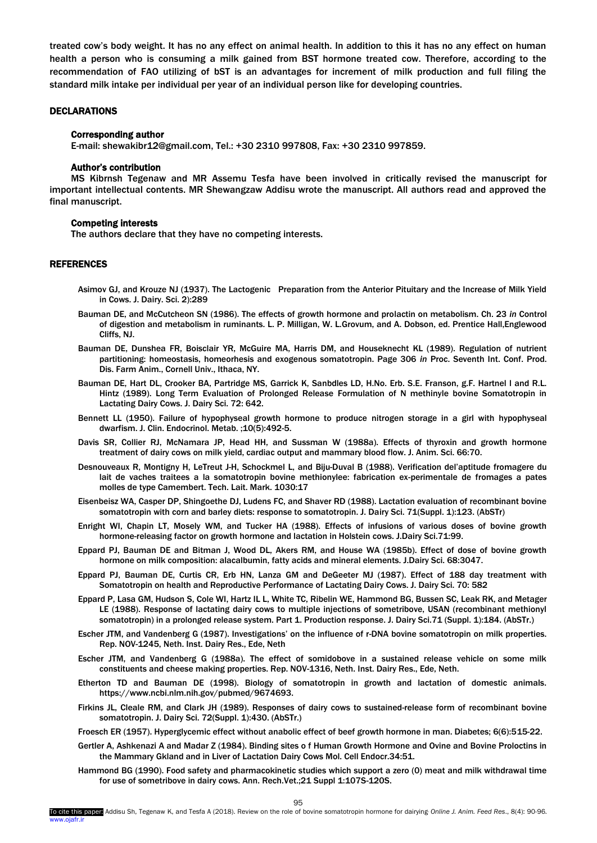<span id="page-5-0"></span>treated cow's body weight. It has no any effect on animal health. In addition to this it has no any effect on human health a person who is consuming a milk gained from BST hormone treated cow. Therefore, according to the recommendation of FAO utilizing of bST is an advantages for increment of milk production and full filing the standard milk intake per individual per year of an individual person like for developing countries.

## DECLARATIONS

## Corresponding author

E-mail: shewakibr12@gmail.com, Tel.: +30 2310 997808, Fax: +30 2310 997859.

## Author's contribution

MS Kibrnsh Tegenaw and MR Assemu Tesfa have been involved in critically revised the manuscript for important intellectual contents. MR Shewangzaw Addisu wrote the manuscript. All authors read and approved the final manuscript.

# Competing interests

The authors declare that they have no competing interests.

# REFERENCES

- Asimov GJ, and Krouze NJ (1937). The Lactogenic Preparation from the Anterior Pituitary and the Increase of Milk Yield in Cows. J. Dairy. Sci. 2):289
- Bauman DE, and McCutcheon SN (1986). The effects of growth hormone and prolactin on metabolism. Ch. 23 *in* Control of digestion and metabolism in ruminants. L. P. Milligan, W. L.Grovum, and A. Dobson, ed. Prentice Hall,Englewood Cliffs, NJ.
- Bauman DE, Dunshea FR, Boisclair YR, McGuire MA, Harris DM, and Houseknecht KL (1989). Regulation of nutrient partitioning: homeostasis, homeorhesis and exogenous somatotropin. Page 306 *in* Proc. Seventh Int. Conf. Prod. Dis. Farm Anim., Cornell Univ., Ithaca, NY.
- Bauman DE, Hart DL, Crooker BA, Partridge MS, Garrick K, Sanbdles LD, H.No. Erb. S.E. Franson, g.F. Hartnel l and R.L. Hintz (1989). Long Term Evaluation of Prolonged Release Formulation of N methinyle bovine Somatotropin in Lactating Dairy Cows. J. Dairy Sci. 72: 642.
- Bennett LL (1950). Failure of hypophyseal growth hormone to produce nitrogen storage in a girl with hypophyseal dwarfism. J. Clin. Endocrinol. Metab. ;10(5):492-5.
- Davis SR, Collier RJ, McNamara JP, Head HH, and Sussman W (1988a). Effects of thyroxin and growth hormone treatment of dairy cows on milk yield, cardiac output and mammary blood flow. J. Anim. Sci. 66:70.
- Desnouveaux R, Montigny H, LeTreut J-H, Schockmel L, and Biju-Duval B (1988). Verification del'aptitude fromagere du lait de vaches traitees a la somatotropin bovine methionylee: fabrication ex-perimentale de fromages a pates molles de type Camembert. Tech. Lait. Mark. 1030:17
- Eisenbeisz WA, Casper DP, Shingoethe DJ, Ludens FC, and Shaver RD (1988). Lactation evaluation of recombinant bovine somatotropin with corn and barley diets: response to somatotropin. J. Dairy Sci. 71(Suppl. 1):123. (AbSTr)
- Enright WI, Chapin LT, Mosely WM, and Tucker HA (1988). Effects of infusions of various doses of bovine growth hormone-releasing factor on growth hormone and lactation in Holstein cows. J.Dairy Sci.71:99.
- Eppard PJ, Bauman DE and Bitman J, Wood DL, Akers RM, and House WA (1985b). Effect of dose of bovine growth hormone on milk composition: alacalbumin, fatty acids and mineral elements. J.Dairy Sci. 68:3047.
- Eppard PJ, Bauman DE, Curtis CR, Erb HN, Lanza GM and DeGeeter MJ (1987). Effect of 188 day treatment with Somatotropin on health and Reproductive Performance of Lactating Dairy Cows. J. Dairy Sci. 70: 582
- Eppard P, Lasa GM, Hudson S, Cole WI, Hartz IL L, White TC, Ribelin WE, Hammond BG, Bussen SC, Leak RK, and Metager LE (1988). Response of lactating dairy cows to multiple injections of sometribove, USAN (recombinant methionyl somatotropin) in a prolonged release system. Part 1. Production response. J. Dairy Sci.71 (Suppl. 1):184. (AbSTr.)
- Escher JTM, and Vandenberg G (1987). Investigations' on the influence of r-DNA bovine somatotropin on milk properties. Rep. NOV-1245, Neth. Inst. Dairy Res., Ede, Neth
- Escher JTM, and Vandenberg G (1988a). The effect of somidobove in a sustained release vehicle on some milk constituents and cheese making properties. Rep. NOV-1316, Neth. Inst. Dairy Res., Ede, Neth.
- Etherton TD and Bauman DE (1998). Biology of somatotropin in growth and lactation of domestic animals. https://www.ncbi.nlm.nih.gov/pubmed/9674693.
- Firkins JL, Cleale RM, and Clark JH (1989). Responses of dairy cows to sustained-release form of recombinant bovine somatotropin. J. Dairy Sci. 72(Suppl. 1):430. (AbSTr.)

Froesch ER (1957). Hyperglycemic effect without anabolic effect of beef growth hormone in man. Diabetes; 6(6):515-22.

- Gertler A, Ashkenazi A and Madar Z (1984). Binding sites o f Human Growth Hormone and Ovine and Bovine Proloctins in the Mammary Gkland and in Liver of Lactation Dairy Cows Mol. Cell Endocr.34:51.
- Hammond BG (1990). Food safety and pharmacokinetic studies which support a zero (0) meat and milk withdrawal time for use of sometribove in dairy cows. Ann. Rech.Vet.;21 Suppl 1:107S-120S.